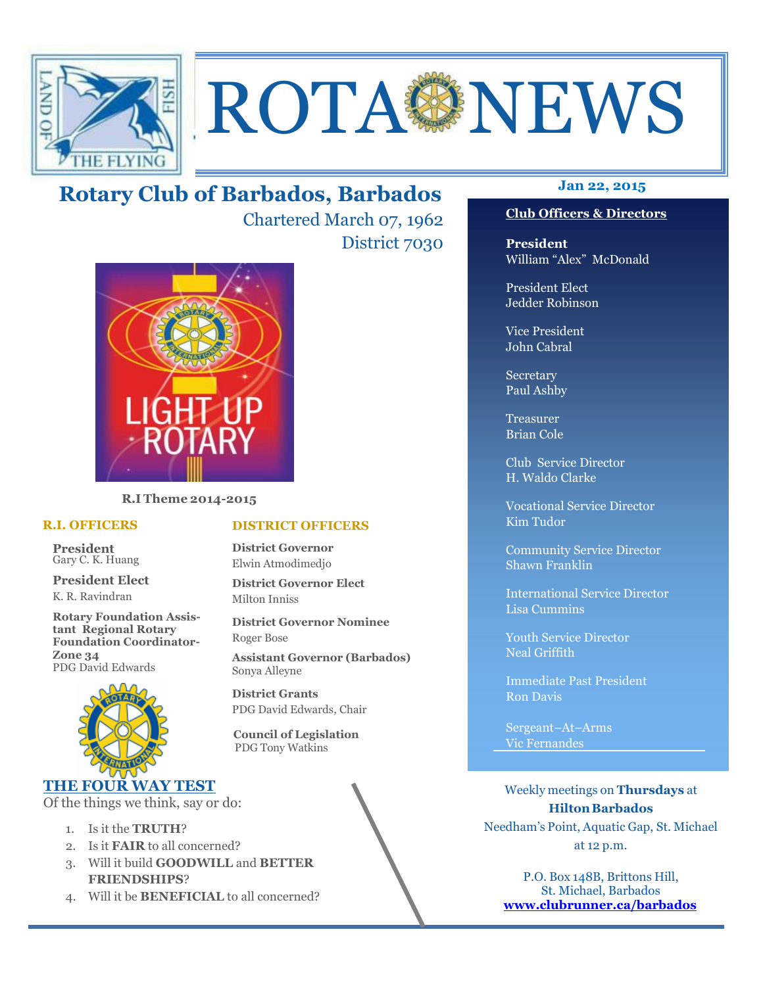

# ROTA NEWS

### **Jan 22, 2015 Rotary Club of Barbados, Barbados**

Chartered March 07, 1962 District 7030



**R.I Theme 2014-2015** 

#### **R.I. OFFICERS**

**President** Gary C. K. Huang

**President Elect** K. R. Ravindran

**Rotary Foundation Assistant Regional Rotary Foundation Coordinator-Zone 34**  PDG David Edwards



#### **THE FOUR WAY TEST**

Of the things we think, say or do:

- 1. Is it the **TRUTH**?
- 2. Is it **FAIR** to all concerned?
- 3. Will it build **GOODWILL** and **BETTER FRIENDSHIPS**?
- 4. Will it be **BENEFICIAL** to all concerned?

#### **Club Officers & Directors**

**President** William "Alex" McDonald

President Elect Jedder Robinson

Vice President John Cabral

Secretary Paul Ashby

Treasurer Brian Cole

Club Service Director H. Waldo Clarke

Vocational Service Director Kim Tudor

Community Service Director Shawn Franklin

International Service Director Lisa Cummins

Youth Service Director Neal Griffith

Immediate Past President Ron Davis

Sergeant–At–Arms Vic Fernandes

Weekly meetings on **Thursdays** at **Hilton Barbados** Needham's Point, Aquatic Gap, St. Michael at 12 p.m.

P.O. Box 148B, Brittons Hill, St. Michael, Barbados **www.clubrunner.ca/barbados**

#### **DISTRICT OFFICERS**

**District Governor** Elwin Atmodimedjo

**District Governor Elect** Milton Inniss

**District Governor Nominee**  Roger Bose

**Assistant Governor (Barbados)** Sonya Alleyne

**District Grants**  PDG David Edwards, Chair

 **Council of Legislation**  PDG Tony Watkins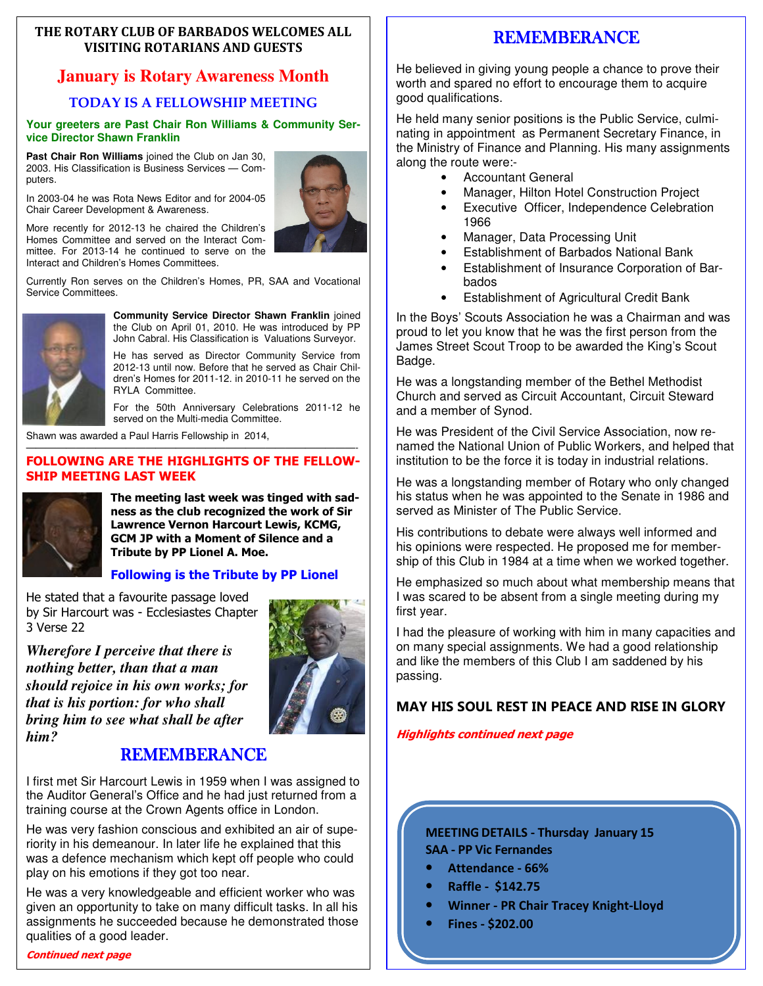#### **THE ROTARY CLUB OF BARBADOS WELCOMES ALL VISITING ROTARIANS AND GUESTS**

#### **January is Rotary Awareness Month**

#### **TODAY IS A FELLOWSHIP MEETING**

#### **Your greeters are Past Chair Ron Williams & Community Service Director Shawn Franklin**

**Past Chair Ron Williams** joined the Club on Jan 30, 2003. His Classification is Business Services — Computers.

In 2003-04 he was Rota News Editor and for 2004-05 Chair Career Development & Awareness.



Currently Ron serves on the Children's Homes, PR, SAA and Vocational Service Committees.



**Community Service Director Shawn Franklin** joined the Club on April 01, 2010. He was introduced by PP John Cabral. His Classification is Valuations Surveyor.

He has served as Director Community Service from 2012-13 until now. Before that he served as Chair Children's Homes for 2011-12. in 2010-11 he served on the RYLA Committee.

For the 50th Anniversary Celebrations 2011-12 he served on the Multi-media Committee.

Shawn was awarded a Paul Harris Fellowship in 2014,

#### $\overline{\phantom{a}}$  , and the contract of the contract of the contract of  $\overline{\phantom{a}}$ **FOLLOWING ARE THE HIGHLIGHTS OF THE FELLOW-SHIP MEETING LAST WEEK**



**The meeting last week was tinged with sadness as the club recognized the work of Sir Lawrence Vernon Harcourt Lewis, KCMG, GCM JP with a Moment of Silence and a Tribute by PP Lionel A. Moe.** 

#### **Following is the Tribute by PP Lionel**

He stated that a favourite passage loved by Sir Harcourt was - Ecclesiastes Chapter 3 Verse 22

*Wherefore I perceive that there is nothing better, than that a man should rejoice in his own works; for that is his portion: for who shall bring him to see what shall be after him?* 



#### REMEMBERANCE

I first met Sir Harcourt Lewis in 1959 when I was assigned to the Auditor General's Office and he had just returned from a training course at the Crown Agents office in London.

He was very fashion conscious and exhibited an air of superiority in his demeanour. In later life he explained that this was a defence mechanism which kept off people who could play on his emotions if they got too near.

He was a very knowledgeable and efficient worker who was given an opportunity to take on many difficult tasks. In all his assignments he succeeded because he demonstrated those qualities of a good leader.

#### **Continued next page**

#### REMEMBERANCE

He believed in giving young people a chance to prove their worth and spared no effort to encourage them to acquire good qualifications.

He held many senior positions is the Public Service, culminating in appointment as Permanent Secretary Finance, in the Ministry of Finance and Planning. His many assignments along the route were:-

- Accountant General
- Manager, Hilton Hotel Construction Project
- Executive Officer, Independence Celebration 1966
- Manager, Data Processing Unit
- Establishment of Barbados National Bank
- Establishment of Insurance Corporation of Barbados
- Establishment of Agricultural Credit Bank

In the Boys' Scouts Association he was a Chairman and was proud to let you know that he was the first person from the James Street Scout Troop to be awarded the King's Scout Badge.

He was a longstanding member of the Bethel Methodist Church and served as Circuit Accountant, Circuit Steward and a member of Synod.

He was President of the Civil Service Association, now renamed the National Union of Public Workers, and helped that institution to be the force it is today in industrial relations.

He was a longstanding member of Rotary who only changed his status when he was appointed to the Senate in 1986 and served as Minister of The Public Service.

His contributions to debate were always well informed and his opinions were respected. He proposed me for membership of this Club in 1984 at a time when we worked together.

He emphasized so much about what membership means that I was scared to be absent from a single meeting during my first year.

I had the pleasure of working with him in many capacities and on many special assignments. We had a good relationship and like the members of this Club I am saddened by his passing.

#### **MAY HIS SOUL REST IN PEACE AND RISE IN GLORY**

**Highlights continued next page** 

#### **MEETING DETAILS - Thursday January 15 SAA - PP Vic Fernandes**

- **Attendance 66%**
- **Raffle \$142.75**
- **Winner PR Chair Tracey Knight-Lloyd**
- **Fines \$202.00**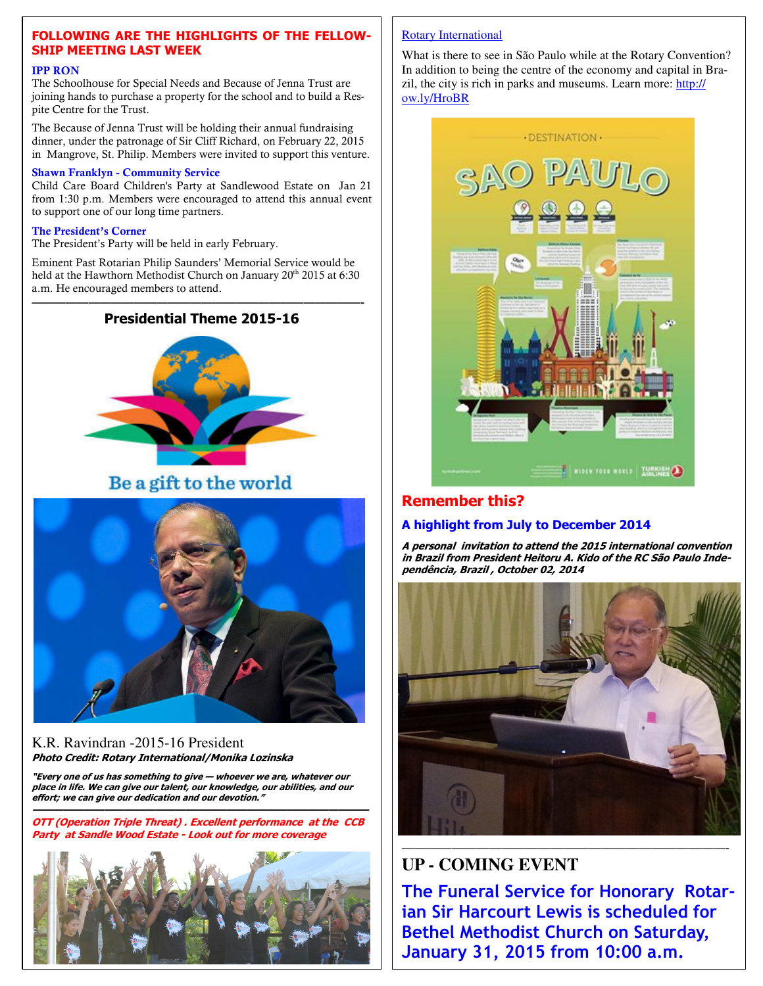#### **FOLLOWING ARE THE HIGHLIGHTS OF THE FELLOW-SHIP MEETING LAST WEEK**

#### **IPP RON**

The Schoolhouse for Special Needs and Because of Jenna Trust are joining hands to purchase a property for the school and to build a Respite Centre for the Trust.

The Because of Jenna Trust will be holding their annual fundraising dinner, under the patronage of Sir Cliff Richard, on February 22, 2015 in Mangrove, St. Philip. Members were invited to support this venture.

#### **Shawn Franklyn - Community Service**

Child Care Board Children's Party at Sandlewood Estate on Jan 21 from 1:30 p.m. Members were encouraged to attend this annual event to support one of our long time partners.

#### **The President's Corner**

The President's Party will be held in early February.

Eminent Past Rotarian Philip Saunders' Memorial Service would be held at the Hawthorn Methodist Church on January 20<sup>th</sup> 2015 at 6:30 a.m. He encouraged members to attend.

—————————————————————————————-

# **Presidential Theme 2015-16**

#### Be a gift to the world



#### K.R. Ravindran -2015-16 President **Photo Credit: Rotary International/Monika Lozinska**

**"Every one of us has something to give — whoever we are, whatever our place in life. We can give our talent, our knowledge, our abilities, and our effort; we can give our dedication and our devotion."** 

**————————————————————————————————— OTT (Operation Triple Threat) . Excellent performance at the CCB Party at Sandle Wood Estate - Look out for more coverage** 



#### Rotary International

What is there to see in São Paulo while at the Rotary Convention? In addition to being the centre of the economy and capital in Brazil, the city is rich in parks and museums. Learn more: http:// ow.ly/HroBR



#### **Remember this?**

#### **A highlight from July to December 2014**

**A personal invitation to attend the 2015 international convention in Brazil from President Heitoru A. Kido of the RC São Paulo Independência, Brazil , October 02, 2014** 



#### ——————————————————————————- **UP - COMING EVENT**

**The Funeral Service for Honorary Rotarian Sir Harcourt Lewis is scheduled for Bethel Methodist Church on Saturday, January 31, 2015 from 10:00 a.m.**